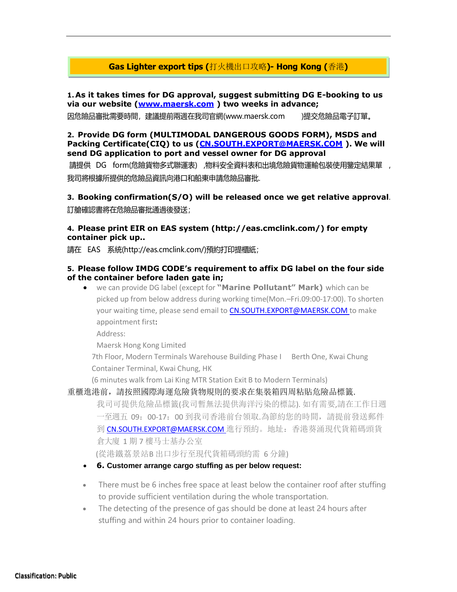# **Gas Lighter export tips (**打火機出口攻略**)- Hong Kong (**香港**)**

**1.As it takes times for DG approval, suggest submitting DG E-booking to us via our website [\(www.maersk.com](http://www.maersk.com/) ) two weeks in advance;**

因危險品審批需要時間,建議提前兩週在我司官網[\(www.maersk.com \)](http://www.maersk.com/)提交危險品電子訂單。

#### **2. Provide DG form (MULTIMODAL DANGEROUS GOODS FORM), MSDS and Packing Certificate(CIQ) to us [\(CN.SOUTH.EXPORT@MAERSK.COM](mailto:CN.SOUTH.EXPORT@MAERSK.COM) ). We will send DG application to port and vessel owner for DG approval**

請提供 DG form(危險貨物多式聯運表) ,物料安全資料表和出境危險貨物運輸包裝使用鑒定結果單 , 我司將根據所提供的危險品資訊向港口和船東申請危險品審批.

**3. Booking confirmation(S/O) will be released once we get relative approval**. 訂艙確認書將在危險品審批通過後發送;

# **4. Please print EIR on EAS system [\(http://eas.cmclink.com/\)](http://eas.cmclink.com/)) for empty container pick up..**

請在 EAS 系統[\(http://eas.cmclink.com/\)](http://eas.cmclink.com/)預約打印提櫃紙)預約打印提櫃紙;

#### **5. Please follow IMDG CODE's requirement to affix DG label on the four side of the container before laden gate in;**

• we can provide DG label (except for **"Marine Pollutant" Mark)** which can be picked up from below address during working time(Mon.–Fri.09:00-17:00). To shorten your waiting time, please send email to [CN.SOUTH.EXPORT@MAERSK.COM t](mailto:CN.SOUTH.EXPORT@MAERSK.COM)o make appointment first:

Address:

Maersk Hong Kong Limited

7th Floor, Modern Terminals Warehouse Building Phase I Berth One, Kwai Chung Container Terminal, Kwai Chung, HK

(6 minutes walk from Lai King MTR Station Exit B to Modern Terminals)

#### 重櫃進港前,請按照國際海運危險貨物規則的要求在集裝箱四周粘貼危險品標籤.

我司可提供危險品標籤(我司暫無法提供海洋污染的標誌). 如有需要,請在工作日週 一至週五 09:00-17:00 到我司香港前台領取.為節約您的時間,請提前發送郵件 到 CN.SOUTH.EXPORT@MAERSK.COM 進行預約。地址: 香港葵涌現代貨箱碼頭貨 倉大廈 1 期 7 樓马士基办公室

(從港鐵荔景站B 出口步行至現代貨箱碼頭約需 6 分鐘)

- **6. Customer arrange cargo stuffing as per below request:**
- There must be 6 inches free space at least below the container roof after stuffing to provide sufficient ventilation during the whole transportation.
- The detecting of the presence of gas should be done at least 24 hours after stuffing and within 24 hours prior to container loading.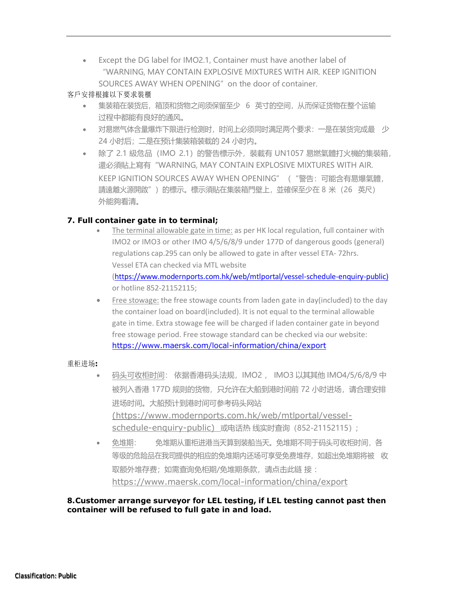• Except the DG label for IMO2.1, Container must have another label of "WARNING, MAY CONTAIN EXPLOSIVE MIXTURES WITH AIR. KEEP IGNITION SOURCES AWAY WHEN OPENING" on the door of container.

### 客戶安排根據以下要求裝櫃

- 集装箱在装货后,箱顶和货物之间须保留至少 6 英寸的空间,从而保证货物在整个运输 过程中都能有良好的通风。
- 对易燃气体含量爆炸下限进行检测时,时间上必须同时满足两个要求:一是在装货完成最 少 24 小时后;二是在预计集装箱装载的 24 小时内。
- 除了 2.1 級危品(IMO 2.1)的警告標示外,裝載有 UN1057 易燃氣體打火機的集裝箱, 還必須貼上寫有"WARNING, MAY CONTAIN EXPLOSIVE MIXTURES WITH AIR. KEEP IGNITION SOURCES AWAY WHEN OPENING" ( "警告: 可能含有易爆氣體, 請遠離火源開啟")的標示。標示須貼在集裝箱門壁上,並確保至少在 8 米(26 英尺) 外能夠看清。

# **7. Full container gate in to terminal;**

- The terminal allowable gate in time: as per HK local regulation, full container with IMO2 or IMO3 or other IMO 4/5/6/8/9 under 177D of dangerous goods (general) regulations cap.295 can only be allowed to gate in after vessel ETA- 72hrs. Vessel ETA can checked via MTL website [\(https://www.modernports.com.hk/web/mtlportal/vessel-schedule-enquiry-public\)](https://www.modernports.com.hk/web/mtlportal/vessel-schedule-enquiry-public) or hotline 852-21152115;
- Free stowage: the free stowage counts from laden gate in day(included) to the day the container load on board(included). It is not equal to the terminal allowable gate in time. Extra stowage fee will be charged if laden container gate in beyond free stowage period. Free stowage standard can be checked via our website: <https://www.maersk.com/local-information/china/export>

# 重柜进场**:**

- 码头可收柜时间: 依据香港码头法规,IMO2 , IMO3 以其其他 IMO4/5/6/8/9 中 被列入香港 177D 规则的货物,只允许在大船到港时间前 72 小时进场,请合理安排 进场时间。大船预计到港时间可参考码头网站 [\(https://www.modernports.com.hk/web/mtlportal/vessel](https://www.modernports.com.hk/web/mtlportal/vessel-schedule-enquiry-public)[schedule-enquiry-public\)](https://www.modernports.com.hk/web/mtlportal/vessel-schedule-enquiry-public) 或电话热 线实时查询 (852-21152115);
- 免堆期: 免堆期从重柜进港当天算到装船当天。免堆期不同于码头可收柜时间,各 等级的危险品在我司提供的相应的免堆期内还场可享受免费堆存,如超出免堆期将被 收 取额外堆存费;如需查询免柜期/免堆期条款,请点击此链 接 : <https://www.maersk.com/local-information/china/export>

#### **8.Customer arrange surveyor for LEL testing, if LEL testing cannot past then container will be refused to full gate in and load.**